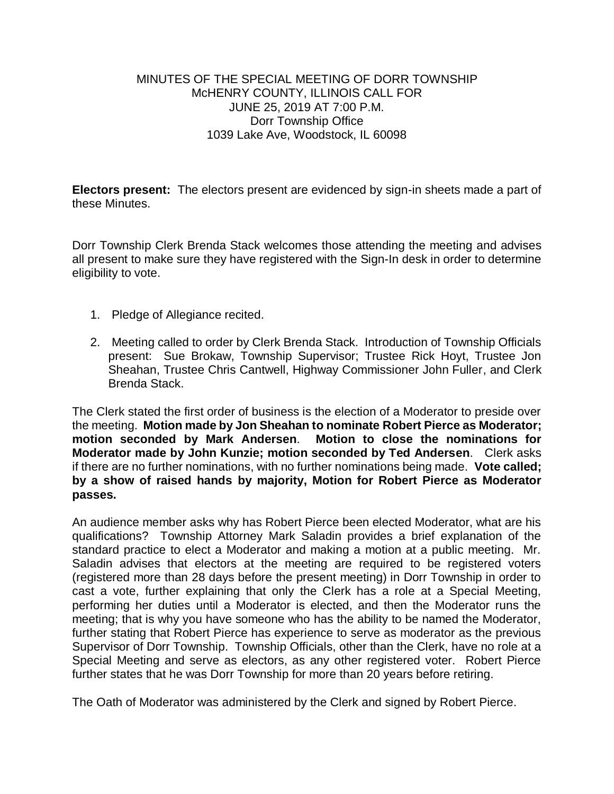## MINUTES OF THE SPECIAL MEETING OF DORR TOWNSHIP McHENRY COUNTY, ILLINOIS CALL FOR JUNE 25, 2019 AT 7:00 P.M. Dorr Township Office 1039 Lake Ave, Woodstock, IL 60098

**Electors present:** The electors present are evidenced by sign-in sheets made a part of these Minutes.

Dorr Township Clerk Brenda Stack welcomes those attending the meeting and advises all present to make sure they have registered with the Sign-In desk in order to determine eligibility to vote.

- 1. Pledge of Allegiance recited.
- 2. Meeting called to order by Clerk Brenda Stack. Introduction of Township Officials present: Sue Brokaw, Township Supervisor; Trustee Rick Hoyt, Trustee Jon Sheahan, Trustee Chris Cantwell, Highway Commissioner John Fuller, and Clerk Brenda Stack.

The Clerk stated the first order of business is the election of a Moderator to preside over the meeting. **Motion made by Jon Sheahan to nominate Robert Pierce as Moderator; motion seconded by Mark Andersen**. **Motion to close the nominations for Moderator made by John Kunzie; motion seconded by Ted Andersen**. Clerk asks if there are no further nominations, with no further nominations being made. **Vote called; by a show of raised hands by majority, Motion for Robert Pierce as Moderator passes.** 

An audience member asks why has Robert Pierce been elected Moderator, what are his qualifications? Township Attorney Mark Saladin provides a brief explanation of the standard practice to elect a Moderator and making a motion at a public meeting. Mr. Saladin advises that electors at the meeting are required to be registered voters (registered more than 28 days before the present meeting) in Dorr Township in order to cast a vote, further explaining that only the Clerk has a role at a Special Meeting, performing her duties until a Moderator is elected, and then the Moderator runs the meeting; that is why you have someone who has the ability to be named the Moderator, further stating that Robert Pierce has experience to serve as moderator as the previous Supervisor of Dorr Township. Township Officials, other than the Clerk, have no role at a Special Meeting and serve as electors, as any other registered voter. Robert Pierce further states that he was Dorr Township for more than 20 years before retiring.

The Oath of Moderator was administered by the Clerk and signed by Robert Pierce.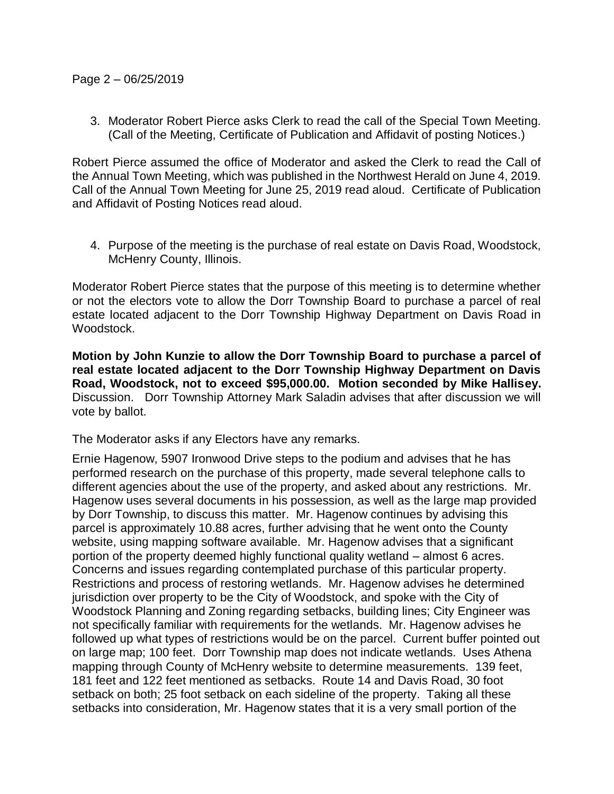## Page 2 – 06/25/2019

3. Moderator Robert Pierce asks Clerk to read the call of the Special Town Meeting. (Call of the Meeting, Certificate of Publication and Affidavit of posting Notices.)

Robert Pierce assumed the office of Moderator and asked the Clerk to read the Call of the Annual Town Meeting, which was published in the Northwest Herald on June 4, 2019. Call of the Annual Town Meeting for June 25, 2019 read aloud. Certificate of Publication and Affidavit of Posting Notices read aloud.

4. Purpose of the meeting is the purchase of real estate on Davis Road, Woodstock, McHenry County, Illinois.

Moderator Robert Pierce states that the purpose of this meeting is to determine whether or not the electors vote to allow the Dorr Township Board to purchase a parcel of real estate located adjacent to the Dorr Township Highway Department on Davis Road in Woodstock.

**Motion by John Kunzie to allow the Dorr Township Board to purchase a parcel of real estate located adjacent to the Dorr Township Highway Department on Davis Road, Woodstock, not to exceed \$95,000.00. Motion seconded by Mike Hallisey.**  Discussion. Dorr Township Attorney Mark Saladin advises that after discussion we will vote by ballot.

The Moderator asks if any Electors have any remarks.

Ernie Hagenow, 5907 Ironwood Drive steps to the podium and advises that he has performed research on the purchase of this property, made several telephone calls to different agencies about the use of the property, and asked about any restrictions. Mr. Hagenow uses several documents in his possession, as well as the large map provided by Dorr Township, to discuss this matter. Mr. Hagenow continues by advising this parcel is approximately 10.88 acres, further advising that he went onto the County website, using mapping software available. Mr. Hagenow advises that a significant portion of the property deemed highly functional quality wetland – almost 6 acres. Concerns and issues regarding contemplated purchase of this particular property. Restrictions and process of restoring wetlands. Mr. Hagenow advises he determined jurisdiction over property to be the City of Woodstock, and spoke with the City of Woodstock Planning and Zoning regarding setbacks, building lines; City Engineer was not specifically familiar with requirements for the wetlands. Mr. Hagenow advises he followed up what types of restrictions would be on the parcel. Current buffer pointed out on large map; 100 feet. Dorr Township map does not indicate wetlands. Uses Athena mapping through County of McHenry website to determine measurements. 139 feet, 181 feet and 122 feet mentioned as setbacks. Route 14 and Davis Road, 30 foot setback on both; 25 foot setback on each sideline of the property. Taking all these setbacks into consideration, Mr. Hagenow states that it is a very small portion of the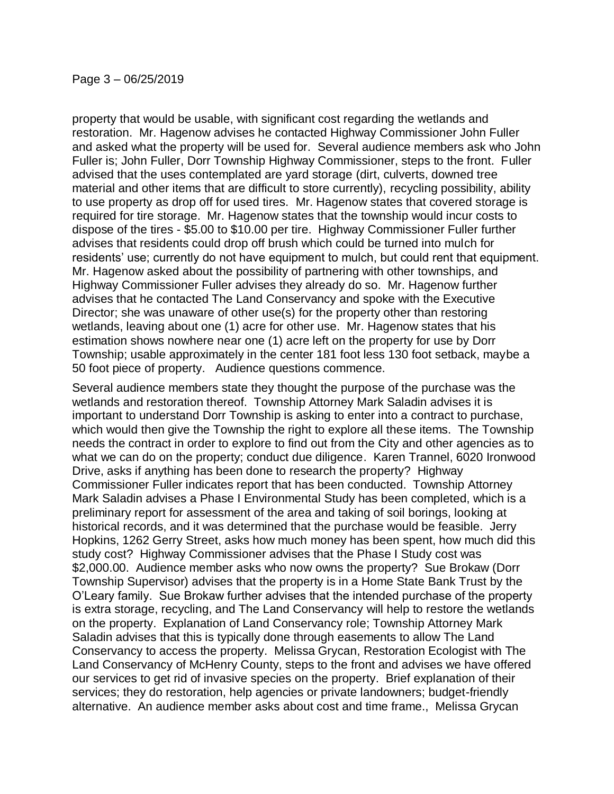property that would be usable, with significant cost regarding the wetlands and restoration. Mr. Hagenow advises he contacted Highway Commissioner John Fuller and asked what the property will be used for. Several audience members ask who John Fuller is; John Fuller, Dorr Township Highway Commissioner, steps to the front. Fuller advised that the uses contemplated are yard storage (dirt, culverts, downed tree material and other items that are difficult to store currently), recycling possibility, ability to use property as drop off for used tires. Mr. Hagenow states that covered storage is required for tire storage. Mr. Hagenow states that the township would incur costs to dispose of the tires - \$5.00 to \$10.00 per tire. Highway Commissioner Fuller further advises that residents could drop off brush which could be turned into mulch for residents' use; currently do not have equipment to mulch, but could rent that equipment. Mr. Hagenow asked about the possibility of partnering with other townships, and Highway Commissioner Fuller advises they already do so. Mr. Hagenow further advises that he contacted The Land Conservancy and spoke with the Executive Director; she was unaware of other use(s) for the property other than restoring wetlands, leaving about one (1) acre for other use. Mr. Hagenow states that his estimation shows nowhere near one (1) acre left on the property for use by Dorr Township; usable approximately in the center 181 foot less 130 foot setback, maybe a 50 foot piece of property. Audience questions commence.

Several audience members state they thought the purpose of the purchase was the wetlands and restoration thereof. Township Attorney Mark Saladin advises it is important to understand Dorr Township is asking to enter into a contract to purchase, which would then give the Township the right to explore all these items. The Township needs the contract in order to explore to find out from the City and other agencies as to what we can do on the property; conduct due diligence. Karen Trannel, 6020 Ironwood Drive, asks if anything has been done to research the property? Highway Commissioner Fuller indicates report that has been conducted. Township Attorney Mark Saladin advises a Phase I Environmental Study has been completed, which is a preliminary report for assessment of the area and taking of soil borings, looking at historical records, and it was determined that the purchase would be feasible. Jerry Hopkins, 1262 Gerry Street, asks how much money has been spent, how much did this study cost? Highway Commissioner advises that the Phase I Study cost was \$2,000.00. Audience member asks who now owns the property? Sue Brokaw (Dorr Township Supervisor) advises that the property is in a Home State Bank Trust by the O'Leary family. Sue Brokaw further advises that the intended purchase of the property is extra storage, recycling, and The Land Conservancy will help to restore the wetlands on the property. Explanation of Land Conservancy role; Township Attorney Mark Saladin advises that this is typically done through easements to allow The Land Conservancy to access the property. Melissa Grycan, Restoration Ecologist with The Land Conservancy of McHenry County, steps to the front and advises we have offered our services to get rid of invasive species on the property. Brief explanation of their services; they do restoration, help agencies or private landowners; budget-friendly alternative. An audience member asks about cost and time frame., Melissa Grycan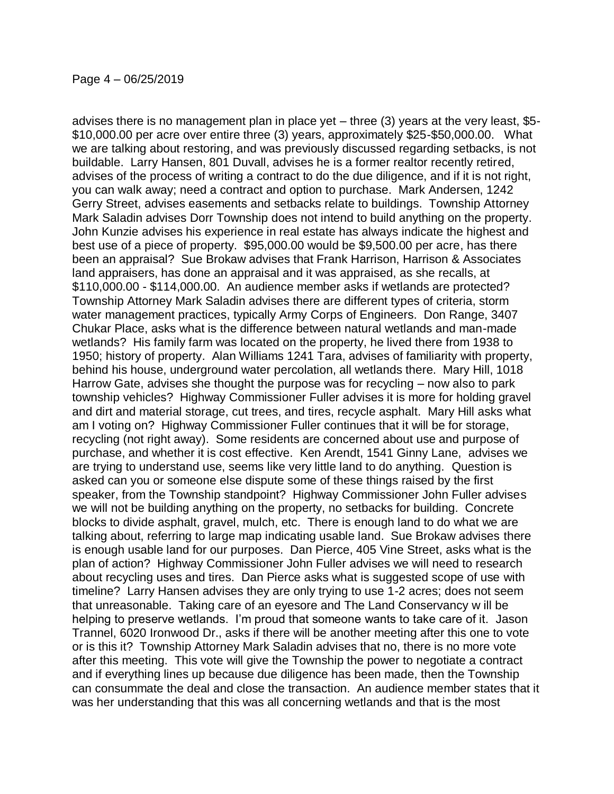advises there is no management plan in place yet – three (3) years at the very least, \$5- \$10,000.00 per acre over entire three (3) years, approximately \$25-\$50,000.00. What we are talking about restoring, and was previously discussed regarding setbacks, is not buildable. Larry Hansen, 801 Duvall, advises he is a former realtor recently retired, advises of the process of writing a contract to do the due diligence, and if it is not right, you can walk away; need a contract and option to purchase. Mark Andersen, 1242 Gerry Street, advises easements and setbacks relate to buildings. Township Attorney Mark Saladin advises Dorr Township does not intend to build anything on the property. John Kunzie advises his experience in real estate has always indicate the highest and best use of a piece of property. \$95,000.00 would be \$9,500.00 per acre, has there been an appraisal? Sue Brokaw advises that Frank Harrison, Harrison & Associates land appraisers, has done an appraisal and it was appraised, as she recalls, at \$110,000.00 - \$114,000.00. An audience member asks if wetlands are protected? Township Attorney Mark Saladin advises there are different types of criteria, storm water management practices, typically Army Corps of Engineers. Don Range, 3407 Chukar Place, asks what is the difference between natural wetlands and man-made wetlands? His family farm was located on the property, he lived there from 1938 to 1950; history of property. Alan Williams 1241 Tara, advises of familiarity with property, behind his house, underground water percolation, all wetlands there. Mary Hill, 1018 Harrow Gate, advises she thought the purpose was for recycling – now also to park township vehicles? Highway Commissioner Fuller advises it is more for holding gravel and dirt and material storage, cut trees, and tires, recycle asphalt. Mary Hill asks what am I voting on? Highway Commissioner Fuller continues that it will be for storage, recycling (not right away). Some residents are concerned about use and purpose of purchase, and whether it is cost effective. Ken Arendt, 1541 Ginny Lane, advises we are trying to understand use, seems like very little land to do anything. Question is asked can you or someone else dispute some of these things raised by the first speaker, from the Township standpoint? Highway Commissioner John Fuller advises we will not be building anything on the property, no setbacks for building. Concrete blocks to divide asphalt, gravel, mulch, etc. There is enough land to do what we are talking about, referring to large map indicating usable land. Sue Brokaw advises there is enough usable land for our purposes. Dan Pierce, 405 Vine Street, asks what is the plan of action? Highway Commissioner John Fuller advises we will need to research about recycling uses and tires. Dan Pierce asks what is suggested scope of use with timeline? Larry Hansen advises they are only trying to use 1-2 acres; does not seem that unreasonable. Taking care of an eyesore and The Land Conservancy w ill be helping to preserve wetlands. I'm proud that someone wants to take care of it. Jason Trannel, 6020 Ironwood Dr., asks if there will be another meeting after this one to vote or is this it? Township Attorney Mark Saladin advises that no, there is no more vote after this meeting. This vote will give the Township the power to negotiate a contract and if everything lines up because due diligence has been made, then the Township can consummate the deal and close the transaction. An audience member states that it was her understanding that this was all concerning wetlands and that is the most